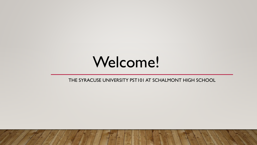# Welcome!

THE SYRACUSE UNIVERSITY PST101 AT SCHALMONT HIGH SCHOOL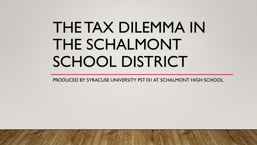# THE TAX DILEMMA IN THE SCHALMONT SCHOOL DISTRICT

PRODUCED BY SYRACUSE UNIVERSITY PST101 AT SCHALMONT HIGH SCHOOL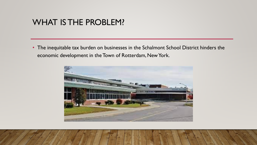# WHAT IS THE PROBLEM?

• The inequitable tax burden on businesses in the Schalmont School District hinders the economic development in the Town of Rotterdam, New York.

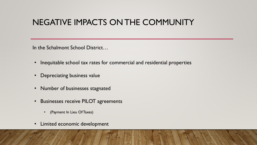# NEGATIVE IMPACTS ON THE COMMUNITY

In the Schalmont School District…

- Inequitable school tax rates for commercial and residential properties
- Depreciating business value
- Number of businesses stagnated
- Businesses receive PILOT agreements
	- (Payment In Lieu Of Taxes)
- Limited economic development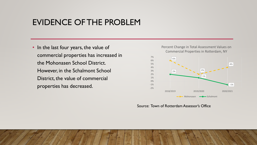# EVIDENCE OF THE PROBLEM

• In the last four years, the value of commercial properties has increased in the Mohonasen School District. However, in the Schalmont School District, the value of commercial properties has decreased.



#### Source: Town of Rotterdam Assessor's Office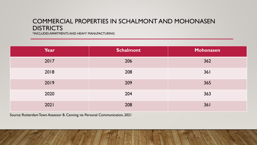### COMMERCIAL PROPERTIES IN SCHALMONT AND MOHONASEN **DISTRICTS**

\*INCLUDES APARTMENTS AND HEAVY MANUFACTURING

| Year | <b>Schalmont</b> | Mohonasen |
|------|------------------|-----------|
| 2017 | 206              | 362       |
| 2018 | 208              | 361       |
| 2019 | 209              | 365       |
| 2020 | 204              | 363       |
| 2021 | 208              | 361       |

Source: Rotterdam Town Assessor B. Canning via Personal Communication, 2021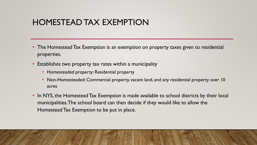# HOMESTEAD TAX EXEMPTION

- The Homestead Tax Exemption is an exemption on property taxes given to residential properties.
- Establishes two property tax rates within a municipality
	- Homesteaded property: Residential property
	- Non-Homesteaded: Commercial property, vacant land, and any residential property over 10 acres
- In NYS, the Homestead Tax Exemption is made available to school districts by their local municipalities. The school board can then decide if they would like to allow the Homestead Tax Exemption to be put in place.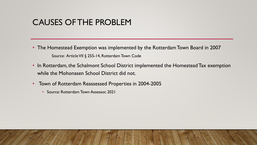# CAUSES OF THE PROBLEM

- The Homestead Exemption was implemented by the Rotterdam Town Board in 2007 Source: Article VII § 255-14, Rotterdam Town Code
- In Rotterdam, the Schalmont School District implemented the Homestead Tax exemption while the Mohonasen School District did not.
- Town of Rotterdam Reassessed Properties in 2004-2005
	- Source: Rotterdam Town Assessor, 2021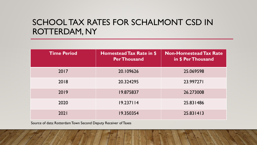# SCHOOL TAX RATES FOR SCHALMONT CSD IN ROTTERDAM, NY

| <b>Time Period</b> | Homestead Tax Rate in \$<br><b>Per Thousand</b> | <b>Non-Homestead Tax Rate</b><br>in \$ Per Thousand |
|--------------------|-------------------------------------------------|-----------------------------------------------------|
| 2017               | 20.109626                                       | 25.069598                                           |
| 2018               | 20.324295                                       | 23.997271                                           |
| 2019               | 19.875837                                       | 26.273008                                           |
| 2020               | 19.237114                                       | 25.831486                                           |
| 2021               | 19.350354                                       | 25.831413                                           |

Source of data: Rotterdam Town Second Deputy Receiver of Taxes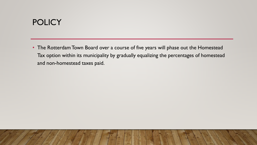# **POLICY**

• The Rotterdam Town Board over a course of five years will phase out the Homestead Tax option within its municipality by gradually equalizing the percentages of homestead and non-homestead taxes paid.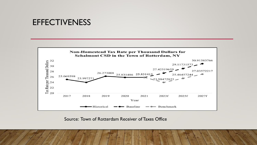## **EFFECTIVENESS**



Source: Town of Rotterdam Receiver of Taxes Office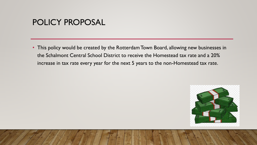# POLICY PROPOSAL

• This policy would be created by the Rotterdam Town Board, allowing new businesses in the Schalmont Central School District to receive the Homestead tax rate and a 20% increase in tax rate every year for the next 5 years to the non-Homestead tax rate.

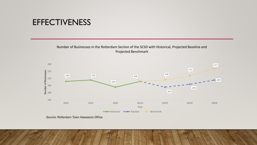# **EFFECTIVENESS**

#### Number of Businesses in the Rotterdam Section of the SCSD with Historical, Projected Baseline and Projected Benchmark



Source: Rotterdam Town Assessors Office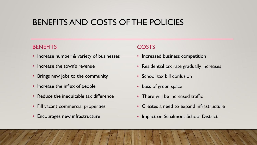# BENEFITS AND COSTS OF THE POLICIES

#### **BENEFITS**

- Increase number & variety of businesses
- Increase the town's revenue
- Brings new jobs to the community
- Increase the influx of people
- Reduce the inequitable tax difference
- Fill vacant commercial properties
- Encourages new infrastructure

### **COSTS**

- Increased business competition
- Residential tax rate gradually increases
- School tax bill confusion
- Loss of green space
- There will be increased traffic
- Creates a need to expand infrastructure
- Impact on Schalmont School District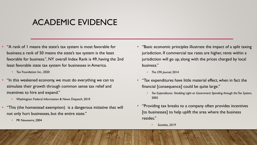# ACADEMIC EVIDENCE

- "A rank of 1 means the state's tax system is most favorable for business; a rank of 50 means the state's tax system is the least favorable for business.", NY overall Index Rank is 49, having the 2nd least favorable state tax system for businesses in America.
	- Tax Foundation Inc., 2020
- "In this weakened economy, we must do everything we can to stimulate their growth through common sense tax relief and incentives to hire and expand."
	- Washington: Federal Information & News Dispatch, 2010
- "This (the homestead exemption) is a dangerous initiative that will not only hurt businesses, but the entire state."
	- PR Newswire, 2004
- "Basic economic principles illustrate the impact of a split taxing jurisdiction. If commercial tax rates are higher, rents within a jurisdiction will go up, along with the prices charged by local business."
	- *The CPA Journal*, 2014
- "Tax expenditures have little material effect, when in fact the financial [consequence] could be quite large."
	- *Tax Expenditures- Shedding Light on Government Spending through the Tax System,* 2003
- "Providing tax breaks to a company often provides incentives [to businesses] to help uplift the area where the business resides."
	- *Societies, 2019*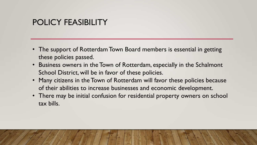# POLICY FEASIBILITY

- The support of Rotterdam Town Board members is essential in getting these policies passed.
- Business owners in the Town of Rotterdam, especially in the Schalmont School District, will be in favor of these policies.
- Many citizens in the Town of Rotterdam will favor these policies because of their abilities to increase businesses and economic development.
- There may be initial confusion for residential property owners on school tax bills.